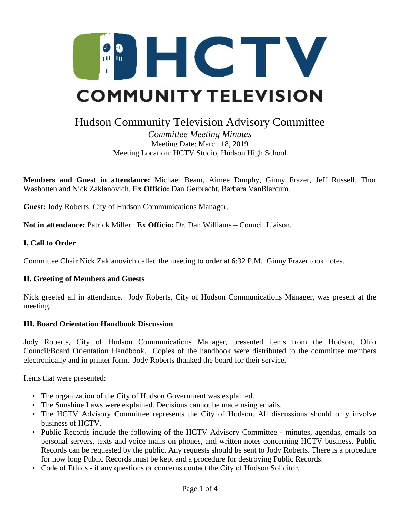

# Hudson Community Television Advisory Committee

*Committee Meeting Minutes* Meeting Date: March 18, 2019 Meeting Location: HCTV Studio, Hudson High School

**Members and Guest in attendance:** Michael Beam, Aimee Dunphy, Ginny Frazer, Jeff Russell, Thor Wasbotten and Nick Zaklanovich. **Ex Officio:** Dan Gerbracht, Barbara VanBlarcum.

**Guest:** Jody Roberts, City of Hudson Communications Manager.

**Not in attendance:** Patrick Miller. **Ex Officio:** Dr. Dan Williams – Council Liaison.

#### **I. Call to Order**

Committee Chair Nick Zaklanovich called the meeting to order at 6:32 P.M. Ginny Frazer took notes.

#### **II. Greeting of Members and Guests**

Nick greeted all in attendance. Jody Roberts, City of Hudson Communications Manager, was present at the meeting.

#### **III. Board Orientation Handbook Discussion**

Jody Roberts, City of Hudson Communications Manager, presented items from the Hudson, Ohio Council/Board Orientation Handbook. Copies of the handbook were distributed to the committee members electronically and in printer form. Jody Roberts thanked the board for their service.

Items that were presented:

- The organization of the City of Hudson Government was explained.
- The Sunshine Laws were explained. Decisions cannot be made using emails.
- The HCTV Advisory Committee represents the City of Hudson. All discussions should only involve business of HCTV.
- Public Records include the following of the HCTV Advisory Committee minutes, agendas, emails on personal servers, texts and voice mails on phones, and written notes concerning HCTV business. Public Records can be requested by the public. Any requests should be sent to Jody Roberts. There is a procedure for how long Public Records must be kept and a procedure for destroying Public Records.
- Code of Ethics if any questions or concerns contact the City of Hudson Solicitor.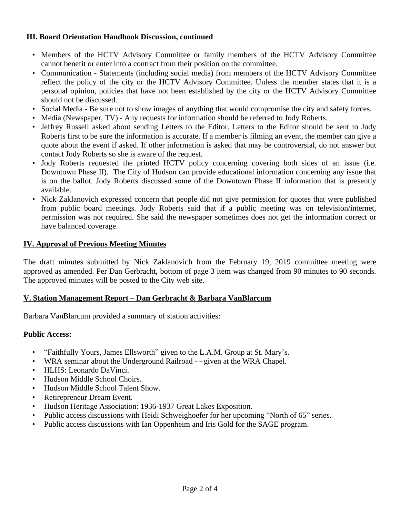## **III. Board Orientation Handbook Discussion, continued**

- Members of the HCTV Advisory Committee or family members of the HCTV Advisory Committee cannot benefit or enter into a contract from their position on the committee.
- Communication Statements (including social media) from members of the HCTV Advisory Committee reflect the policy of the city or the HCTV Advisory Committee. Unless the member states that it is a personal opinion, policies that have not been established by the city or the HCTV Advisory Committee should not be discussed.
- Social Media Be sure not to show images of anything that would compromise the city and safety forces.
- Media (Newspaper, TV) Any requests for information should be referred to Jody Roberts.
- Jeffrey Russell asked about sending Letters to the Editor. Letters to the Editor should be sent to Jody Roberts first to be sure the information is accurate. If a member is filming an event, the member can give a quote about the event if asked. If other information is asked that may be controversial, do not answer but contact Jody Roberts so she is aware of the request.
- Jody Roberts requested the printed HCTV policy concerning covering both sides of an issue (i.e. Downtown Phase II). The City of Hudson can provide educational information concerning any issue that is on the ballot. Jody Roberts discussed some of the Downtown Phase II information that is presently available.
- Nick Zaklanovich expressed concern that people did not give permission for quotes that were published from public board meetings. Jody Roberts said that if a public meeting was on television/internet, permission was not required. She said the newspaper sometimes does not get the information correct or have balanced coverage.

# **IV. Approval of Previous Meeting Minutes**

The draft minutes submitted by Nick Zaklanovich from the February 19, 2019 committee meeting were approved as amended. Per Dan Gerbracht, bottom of page 3 item was changed from 90 minutes to 90 seconds. The approved minutes will be posted to the City web site.

## **V. Station Management Report – Dan Gerbracht & Barbara VanBlarcum**

Barbara VanBlarcum provided a summary of station activities:

## **Public Access:**

- "Faithfully Yours, James Ellsworth" given to the L.A.M. Group at St. Mary's.
- WRA seminar about the Underground Railroad - given at the WRA Chapel.
- HLHS: Leonardo DaVinci.
- Hudson Middle School Choirs.
- Hudson Middle School Talent Show.
- Retirepreneur Dream Event.
- Hudson Heritage Association: 1936-1937 Great Lakes Exposition.
- Public access discussions with Heidi Schweighoefer for her upcoming "North of 65" series.
- Public access discussions with Ian Oppenheim and Iris Gold for the SAGE program.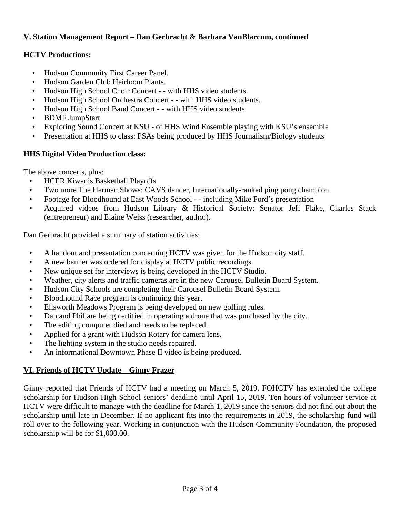# **V. Station Management Report – Dan Gerbracht & Barbara VanBlarcum, continued**

## **HCTV Productions:**

- Hudson Community First Career Panel.
- Hudson Garden Club Heirloom Plants.
- Hudson High School Choir Concert - with HHS video students.
- Hudson High School Orchestra Concert - with HHS video students.
- Hudson High School Band Concert - with HHS video students
- BDMF JumpStart
- Exploring Sound Concert at KSU of HHS Wind Ensemble playing with KSU's ensemble
- Presentation at HHS to class: PSAs being produced by HHS Journalism/Biology students

# **HHS Digital Video Production class:**

The above concerts, plus:

- HCER Kiwanis Basketball Playoffs
- Two more The Herman Shows: CAVS dancer, Internationally-ranked ping pong champion
- Footage for Bloodhound at East Woods School - including Mike Ford's presentation
- Acquired videos from Hudson Library & Historical Society: Senator Jeff Flake, Charles Stack (entrepreneur) and Elaine Weiss (researcher, author).

Dan Gerbracht provided a summary of station activities:

- A handout and presentation concerning HCTV was given for the Hudson city staff.
- A new banner was ordered for display at HCTV public recordings.
- New unique set for interviews is being developed in the HCTV Studio.
- Weather, city alerts and traffic cameras are in the new Carousel Bulletin Board System.
- Hudson City Schools are completing their Carousel Bulletin Board System.
- Bloodhound Race program is continuing this year.
- Ellsworth Meadows Program is being developed on new golfing rules.
- Dan and Phil are being certified in operating a drone that was purchased by the city.
- The editing computer died and needs to be replaced.
- Applied for a grant with Hudson Rotary for camera lens.
- The lighting system in the studio needs repaired.
- An informational Downtown Phase II video is being produced.

# **VI. Friends of HCTV Update – Ginny Frazer**

Ginny reported that Friends of HCTV had a meeting on March 5, 2019. FOHCTV has extended the college scholarship for Hudson High School seniors' deadline until April 15, 2019. Ten hours of volunteer service at HCTV were difficult to manage with the deadline for March 1, 2019 since the seniors did not find out about the scholarship until late in December. If no applicant fits into the requirements in 2019, the scholarship fund will roll over to the following year. Working in conjunction with the Hudson Community Foundation, the proposed scholarship will be for \$1,000.00.